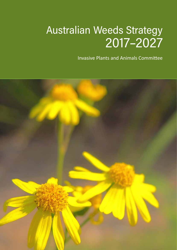# Australian Weeds Strategy 2017–2027

Invasive Plants and Animals Committee

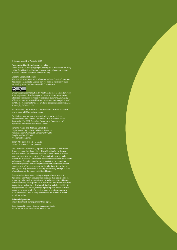© Commonwealth of Australia 2017

#### **Ownership of intellectual property rights**

Unless otherwise noted, copyright (and any other intellectual property rights, if any) in this publication is owned by the Commonwealth of Australia (referred to as the Commonwealth).

#### **Creative Commons licence**

All material in this publication is licensed under a Creative Commons Attribution 4.0 Australia Licence, save for content supplied by third parties, logos and the Commonwealth Coat of Arms.



**CREATIVE BY COMMONS Attribution 4.0 Australia Licence is a standard form** licence agreement that allows you to copy, distribute, transmit and adapt this publication provided you attribute the work. A summary of the licence terms is available from creativecommons.org/licenses/ by/4.0. The full licence terms are available from creativecommons.org/ licenses/by/4.0/legalcode.

Enquiries about the licence and any use of this document should be sent to [copyright@agriculture.gov.au](mailto:copyright@agriculture.gov.au).

For bibliographic purposes this publication may be cited as: Invasive Plants and Animals Committee 2016, *Australian Weeds Strategy 2017 to 2027*, Australian Government Department of Agriculture and Water Resources, Canberra.

**Invasive Plants and Animals Committee** Department of Agriculture and Water Resources Postal address GPO Box 858 Canberra ACT 2601 Telephone 1800 900 090 Web [agriculture.gov.au](http://agriculture.gov.au/)

ISBN 978-1-76003-134-3 (printed) ISBN 978-1-76003-135-0 (online)

The Australian Government, Department of Agriculture and Water Resources has collated and edited this publication for the Invasive Plants and Animals Committee. While reasonable efforts have been made to ensure that the contents of this publication are factually correct, the Australian Government and members of the Invasive Plants and Animals Committee (or the governments that the committee members represent) do not accept responsibility for the accuracy or completeness of the contents, and shall not be liable for any loss or damage that may be occasioned directly or indirectly through the use of, or reliance on, the contents of this publication.

The Australian Government acting through the Department of Agriculture and Water Resources has exercised due care and skill in preparing and compiling the information and data in this publication. Notwithstanding, the Department of Agriculture and Water Resources, its employees and advisers disclaim all liability, including liability for negligence and for any loss, damage, injury, expense or cost incurred by any person as a result of accessing, using or relying upon any of the information or data in this publication to the maximum extent permitted by law.

#### **Acknowledgements**

The authors thank participants for their input.

Cover image: Fireweed – *Senecia madagascariensis*. Photo: Kathie Nichols/www.shutterstock.com.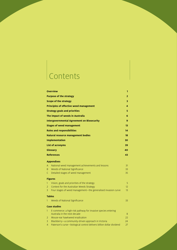## Contents

|                | <b>Overview</b>                                                                     | 1              |  |
|----------------|-------------------------------------------------------------------------------------|----------------|--|
|                | <b>Purpose of the strategy</b>                                                      | $\overline{2}$ |  |
|                | Scope of the strategy                                                               | 3              |  |
|                | <b>Principles of effective weed management</b>                                      | 4              |  |
|                | <b>Strategy goals and priorities</b>                                                |                |  |
|                | The impact of weeds in Australia                                                    | 6              |  |
|                | <b>Intergovernmental Agreement on Biosecurity</b>                                   | 9              |  |
|                | <b>Stages of weed management</b>                                                    | 13             |  |
|                | <b>Roles and responsibilities</b>                                                   | 14             |  |
|                | <b>Natural resource management bodies</b>                                           | 18             |  |
|                | <b>Implementation</b>                                                               | 30             |  |
|                | List of acronyms                                                                    | 39             |  |
|                | Glossary                                                                            | 40             |  |
|                | <b>References</b>                                                                   | 43             |  |
|                |                                                                                     |                |  |
|                | <b>Appendixes</b>                                                                   |                |  |
| A<br>B         | National weed management achievements and lessons<br>Weeds of National Significance | 31<br>33       |  |
| C              | Detailed stages of weed management                                                  | 35             |  |
|                |                                                                                     |                |  |
| 1              | <b>Figures</b><br>Vision, goals and priorities of the strategy                      | 5              |  |
| $\overline{2}$ | Context for the Australian Weeds Strategy                                           | 12             |  |
| 3              | Four stages of weed management-the generalised invasion curve                       | 13             |  |
|                | <b>Tables</b>                                                                       |                |  |
| 1              | Weeds of National Significance                                                      | 33             |  |
|                | <b>Case studies</b>                                                                 |                |  |
| 1              | E-commerce: a high-risk pathway for invasive species entering                       |                |  |
|                | Australia in the next decade                                                        | 8              |  |
| 2              | Mouse-ear hawkweed eradication                                                      | 22             |  |
| 3              | Blackberry-a community-driven approach in Victoria                                  | 24             |  |
| 4              | Paterson's curse-biological control delivers billion dollar dividend                | 27             |  |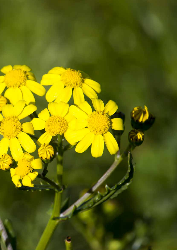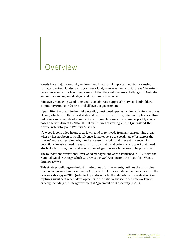## <span id="page-4-0"></span>Overview

Weeds have major economic, environmental and social impacts in Australia, causing damage to natural landscapes, agricultural land, waterways and coastal areas. The extent, persistence and impacts of weeds are such that they will remain a challenge for Australia and require an ongoing strategic and coordinated response.

Effectively managing weeds demands a collaborative approach between landholders, community groups, industries and all levels of government.

If permitted to spread to their full potential, most weed species can impact extensive areas of land, affecting multiple local, state and territory jurisdictions, often multiple agricultural industries and a variety of significant environmental assets. For example, prickly acacia poses a serious threat to 20 to 30 million hectares of grazing land in Queensland, the Northern Territory and Western Australia.

If a weed is controlled in one area, it will tend to re-invade from any surrounding areas where it has not been controlled. Hence, it makes sense to coordinate effort across the species' entire range. Similarly, it makes sense to restrict and prevent the entry of a potentially invasive weed in every jurisdiction that could potentially support that weed. Much like bushfires, it only takes one point of ignition for a large area to be put at risk.

The foundations for national level weed management were established in 1997 with the National Weeds Strategy, which was revised in 2007, to become the Australian Weeds Strategy (AWS).

This strategy, building on the last two decades of achievements, outlines the principles that underpin weed management in Australia. It follows an independent evaluation of the previous strategy in 2013 (refer to Appendix A for further details on the evaluation) and captures significant recent developments in the national biosecurity framework more broadly, including the Intergovernmental Agreement on Biosecurity (IGAB).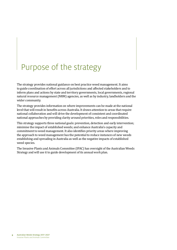## <span id="page-5-0"></span>Purpose of the strategy

The strategy provides national guidance on best practice weed management. It aims to guide coordination of effort across all jurisdictions and affected stakeholders and to inform plans and actions by state and territory governments, local governments, regional natural resource management (NRM) agencies, as well as by industry, landholders and the wider community.

The strategy provides information on where improvements can be made at the national level that will result in benefits across Australia. It draws attention to areas that require national collaboration and will drive the development of consistent and coordinated national approaches by providing clarity around priorities, roles and responsibilities.

This strategy supports three national goals: prevention, detection and early intervention; minimise the impact of established weeds; and enhance Australia's capacity and commitment to weed management. It also identifies priority areas where improving the approach to weed management has the potential to reduce instances of new weeds establishing and spreading in Australia as well as the negative impacts of established weed species.

The Invasive Plants and Animals Committee (IPAC) has oversight of the Australian Weeds Strategy and will use it to guide development of its annual work plan.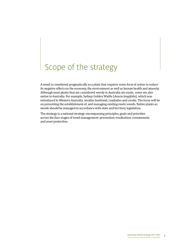## <span id="page-6-0"></span>Scope of the strategy

A weed is considered pragmatically as a plant that requires some form of action to reduce its negative effects on the economy, the environment as well as human health and amenity. Although most plants that are considered weedy in Australia are exotic, some are also native to Australia. For example, Sydney Golden Wattle (*Acacia longifolia*), which was introduced to Western Australia, invades bushland, roadsides and creeks. The focus will be on preventing the establishment of, and managing existing exotic weeds. Native plants as weeds should be managed in accordance with state and territory legislation.

The strategy is a national strategy encompassing principles, goals and priorities across the four stages of weed management: prevention; eradication; containment; and asset protection.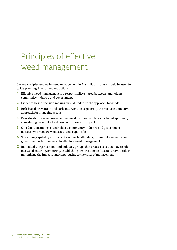## <span id="page-7-0"></span>Principles of effective weed management

Seven principles underpin weed management in Australia and these should be used to guide planning, investment and actions.

- 1. Effective weed management is a responsibility shared between landholders, community, industry and government.
- 2. Evidence-based decision-making should underpin the approach to weeds.
- 3. Risk-based prevention and early intervention is generally the most cost-effective approach for managing weeds.
- 4. Prioritisation of weed management must be informed by a risk based approach, considering feasibility, likelihood of success and impact.
- 5. Coordination amongst landholders, community, industry and government is necessary to manage weeds at a landscape scale.
- 6. Sustaining capability and capacity across landholders, community, industry and government is fundamental to effective weed management.
- 7. Individuals, organisations and industry groups that create risks that may result in a weed entering, emerging, establishing or spreading in Australia have a role in minimising the impacts and contributing to the costs of management.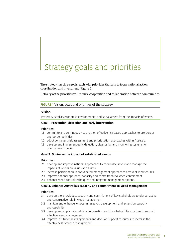## <span id="page-8-0"></span>Strategy goals and priorities

The strategy has three goals, each with priorities that aim to focus national action, coordination and investment (Figure 1).

Delivery of the priorities will require cooperation and collaboration between communities.

#### FIGURE 1 Vision, goals and priorities of the strategy

#### **Vision**

Protect Australia's economic, environmental and social assets from the impacts of weeds.

#### **Goal 1. Prevention, detection and early intervention**

#### Priorities:

- 1.1 commit to and continuously strengthen effective risk-based approaches to pre-border and border activities
- 1.2 adopt consistent risk assessment and prioritisation approaches within Australia
- 1.3 develop and implement early detection, diagnostics and monitoring systems for priority weed species.

#### **Goal 2. Minimise the impact of established weeds**

#### Priorities:

- 2.1 develop and improve national approaches to coordinate, invest and manage the impacts of weeds on values and assets
- 2.2 increase participation in coordinated management approaches across all land tenures
- 2.3 improve national approach, capacity and commitment to weed containment
- 2.4 enhance weed control techniques and integrate management options.

#### **Goal 3. Enhance Australia's capacity and commitment to weed management**

#### Priorities:

- 3.1 develop the knowledge, capacity and commitment of key stakeholders to play an active and constructive role in weed management
- 3.2 maintain and enhance long-term research, development and extension capacity and capability
- 3.3 develop and apply national data, information and knowledge infrastructure to support effective weed management
- 3.4 improve institutional arrangements and decision support resources to increase the effectiveness of weed management.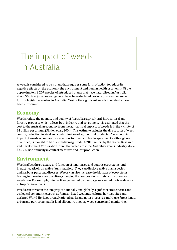## <span id="page-9-0"></span>The impact of weeds in Australia

A weed is considered to be a plant that requires some form of action to reduce its negative effects on the economy, the environment and human health or amenity. Of the approximately 3,207 species of introduced plants that have naturalised in Australia, about 500 taxa (species and genera) have been declared noxious or are under some form of legislative control in Australia. Most of the significant weeds in Australia have been introduced.

### **Economy**

Weeds reduce the quantity and quality of Australia's agricultural, horticultural and forestry products, which affects both industry and consumers. It is estimated that the cost to the Australian economy from the agricultural impacts of weeds is in the vicinity of \$4 billion per annum (Sinden et al., 2004). This estimate includes the direct costs of weed control, reduction in yield and contamination of agricultural products. The economic impact of weeds on nature conservation, tourism and landscape amenity, although not quantified, is thought to be of a similar magnitude. A 2016 report by the Grains Research and Development Corporation found that weeds cost the Australian grains industry alone \$3.27 billion annually in control measures and lost production.

### **Environment**

Weeds affect the structure and function of land-based and aquatic ecosystems, and impact negatively on native fauna and flora. They can displace native plant species and harbour pests and diseases. Weeds can also increase the biomass of ecosystems leading to more intense bushfires, changing the composition and structure of native vegetation. For example, intense fires generated by Gamba grass can reduce tree density in tropical savannahs.

Weeds can threaten the integrity of nationally and globally significant sites, species and ecological communities, such as Ramsar-listed wetlands, cultural heritage sites and declared World Heritage areas. National parks and nature reserves, multi-use forest lands, urban and peri-urban public land all require ongoing weed control and monitoring.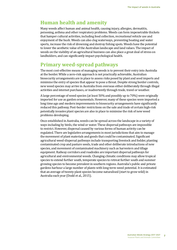### **Human health and amenity**

Many weeds affect human and animal health, causing injury, allergies, dermatitis, poisoning, asthma and other respiratory problems. Weeds can form impenetrable thickets that hamper cultural activities, including food collection, recreational vehicle use and enjoyment of the bush. Weeds can also clog waterways, preventing boating and water sports, increase the risk of drowning and destroy fishing spots. Weeds have the potential to lower the aesthetic value of the Australian landscape and land values. The impact of weeds on the viability of an agricultural business can also place a great deal of stress on landholders, and can significantly impact psychological health.

### **Primary weed-spread pathways**

The most cost-effective means of managing weeds is to prevent their entry into Australia at the border. While a zero-risk approach is not practically achievable, Australian biosecurity arrangements are in place to assess risks posed by plant and seed imports and minimise the entry of species that appear to pose a threat. Despite strong border controls, new weed species may arrive in Australia from overseas either deliberately through illegal activities and internet purchases, or inadvertently through trade, travel or weather.

A large percentage of weed species (at least 50% and possibly up to 70%) were originally imported for use as garden ornamentals. However, many of these species were imported a long time ago and modern improvements to biosecurity arrangements have significantly reduced this pathway. Post-border restrictions on the sale and trade of certain high-risk potentially invasive plant species are also in place to minimise the risk of new weed problems developing.

Once established in Australia, weeds can be spread across the landscape in a variety of ways including by birds, the wind or water. These dispersal pathways are impossible to restrict. However, dispersal caused by various forms of human activity can be regulated. There are legislative arrangements in most jurisdictions that aim to manage the movement of plant materials and goods that could be contaminated. Significant agricultural weed-dispersal pathways include transporting livestock and fodder, planting contaminated crop and pasture seeds, trade and other deliberate introductions of new species, and movement of contaminated machinery such as harvesters and tillage equipment. Railway corridors and roadsides are important dispersal pathways for agricultural and environmental weeds. Changing climatic conditions may allow tropical species to extend further south, temperate species to retreat further south and summer growing species to become prevalent in southern regions. Australia's public and private gardens harbour a large number of plants with long-term weed potential. It is estimated that an average of twenty plant species become naturalised (start to grow wild) in Australia each year (Dodd et al., 2015).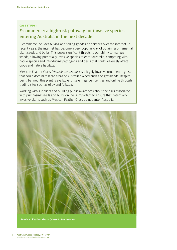#### **CASE STUDY 1**

### E-commerce: a high-risk pathway for invasive species entering Australia in the next decade

E-commerce includes buying and selling goods and services over the internet. In recent years, the internet has become a very popular way of obtaining ornamental plant seeds and bulbs. This poses significant threats to our ability to manage weeds, allowing potentially invasive species to enter Australia, competing with native species and introducing pathogens and pests that could adversely affect crops and native habitats.

Mexican Feather Grass (*Nassella tenuissima*) is a highly invasive ornamental grass that could dominate large areas of Australian woodlands and grasslands. Despite being banned, this plant is available for sale in garden centres and online through trading sites such as eBay and Alibaba.

Working with suppliers and building public awareness about the risks associated with purchasing seeds and bulbs online is important to ensure that potentially invasive plants such as Mexican Feather Grass do not enter Australia.



Mexican Feather Grass (*Nassella tenuissima*)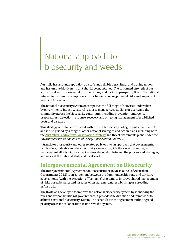## <span id="page-12-0"></span>National approach to biosecurity and weeds

Australia has a sound reputation as a safe and reliable agricultural and trading nation, and has unique biodiversity that should be maintained. The continued strength of our agricultural sector is essential to our economy and national prosperity. It is in the national interest to continuously improve approaches to reducing potential risks and impacts of weeds in Australia.

The national biosecurity system encompasses the full range of activities undertaken by governments, industry, natural resource managers, custodians or users, and the community across the biosecurity continuum, including prevention, emergency preparedness, detection, response, recovery and on-going management of established pests and diseases.

This strategy aims to be consistent with current biosecurity policy, in particular the IGAB and is also guided by a range of other national strategies and action plans, including both the [Australian Biodiversity Conservation Strategy](http://www.environment.gov.au/biodiversity/conservation/strategy) and threat abatements plans under the *Environment Protection and Biodiversity Conservation Act 1999*.

It translates biosecurity and other related policies into an approach that governments, landholders, industry and the community can use to guide their weed planning and management efforts. Figure 2 depicts the relationship between the policies and strategies, and work at the national, state and local level.

### **Intergovernmental Agreement on Biosecurity**

The Intergovernmental Agreement on Biosecurity, or IGAB, (Council of Australian Governments 2012) is an agreement between the Commonwealth, state and territory governments (with the exception of Tasmania) that aims to improve shared management of risks posed by pests and diseases entering, emerging, establishing or spreading in Australia.

The IGAB was developed to improve the national biosecurity system by identifying the roles and responsibilities of governments. It provides the direction and framework to achieve a national biosecurity system. The schedules to the agreement outline agreed priority areas for collaboration to improve the system.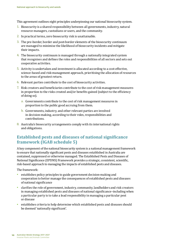This agreement outlines eight principles underpinning our national biosecurity system.

- 1. Biosecurity is a shared responsibility between all governments, industry, natural resource managers, custodians or users, and the community.
- 2. In practical terms, zero biosecurity risk is unattainable.
- 3. The pre-border, border and post-border elements of the biosecurity continuum are managed to minimise the likelihood of biosecurity incidents and mitigate their impacts.
- 4. The biosecurity continuum is managed through a nationally integrated system that recognises and defines the roles and responsibilities of all sectors and sets out cooperative activities.
- 5. Activity is undertaken and investment is allocated according to a cost-effective, science-based and risk-management approach, prioritising the allocation of resources to the areas of greatest return.
- 6. Relevant parties contribute to the cost of biosecurity activities.
- 7. Risk creators and beneficiaries contribute to the cost of risk management measures in proportion to the risks created and/or benefits gained (subject to the efficiency of doing so).
	- a. Governments contribute to the cost of risk management measures in proportion to the public good accruing from them.
	- b. Governments, industry, and other relevant parties are involved in decision-making, according to their roles, responsibilities and contributions.
- 8. Australia's biosecurity arrangements comply with its international rights and obligations.

### **Established pests and diseases of national significance framework (IGAB schedule 5)**

A key component of the national biosecurity system is a national management framework to ensure that nationally significant pests and diseases established in Australia are contained, suppressed or otherwise managed. The Established Pests and Diseases of National Significance (EPDNS) Framework provides a strategic, consistent, scientific, risk-based approach to managing the impacts of established pests and diseases.

The framework:

- establishes policy principles to guide government decision-making and cooperation to better manage the consequences of established pests and diseases of national significance
- clarifies the role of government, industry, community, landholders and risk creators in managing established pests and diseases of national significance–including when a particular party is to take a lead responsibility in managing a particular pest or disease
- establishes criteria to help determine which established pests and diseases should be deemed 'nationally significant'.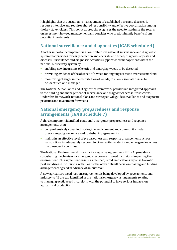It highlights that the sustainable management of established pests and diseases is resource intensive and requires shared responsibility and effective coordination among the key stakeholders. This policy approach recognises the need to maximise the return on investment in weed management and consider who predominantly benefits from potential investments.

#### **National surveillance and diagnostics (IGAB schedule 4)**

Another important component is a comprehensive national surveillance and diagnostic system that provides for early detection and accurate and timely diagnosis of pests and diseases. Surveillance and diagnostic activities support weed management within the national biosecurity system by:

- enabling new incursions of exotic and emerging weeds to be detected
- providing evidence of the absence of a weed for ongoing access to overseas markets
- monitoring changes in the distribution of weeds, to allow associated risks to be identified and managed.

The National Surveillance and Diagnostics Framework provides an integrated approach to the funding and management of surveillance and diagnostics across jurisdictions. Under this framework, national plans and strategies will guide surveillance and diagnostic priorities and investment for weeds.

#### **National emergency preparedness and response arrangements (IGAB schedule 7)**

A third component identified is national emergency preparedness and response arrangements that:

- comprehensively cover industries, the environment and community under pre-arranged governance and cost-sharing agreements
- maintain an effective level of preparedness and response arrangements across jurisdictions to adequately respond to biosecurity incidents and emergencies across the biosecurity continuum.

The National Environmental Biosecurity Response Agreement (NEBRA) provides a cost-sharing mechanism for emergency responses to weed incursions impacting the environment. This agreement ensures a planned, rapid eradication response to exotic pest and disease incursions, with most of the often difficult decision-making and funding arrangements agreed in advance of an outbreak.

A new agriculture weed response agreement is being developed by governments and industry to fill the gap identified in the national emergency arrangements relating to managing exotic weed incursions with the potential to have serious impacts on agricultural production.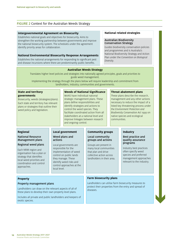#### FIGURE 2 Context for the Australian Weeds Strategy

#### **Intergovernmental Agreement on Biosecurity**

Establishes national goals and objectives for biosecurity. Aims to strengthen the working partnership between governments and improve the national biosecurity system. The schedules under the agreement identify priority areas for collaboration.

#### **National Environmental Biosecurity Response Arrangements**

Establishes the national arrangements for responding to significant pest and disease incursions where there are predominantly public benefits.

#### **National related strategies**

#### Australian Biodiversity Conservation Strategy

Guides biodiversity conservation policies and programmes and is Australia's National Biodiversity Strategy and Action Plan under the Convention on Biological Diversity.

#### **Australian Weeds Strategy**

Translates higher level policies and strategies into nationally agreed principles, goals and priorities to guide weed management.

Implementing the strategy through the plans below will require leadership and commitment from landholders, industry, communities and governments.

#### **State and territory governments**

Biosecurity, weeds (strategies/plans). Each state and territory has relevant plans or strategies that outline their weed policy and legislation.

#### **Weeds of National Significance**

WoNS have individual national strategic management plans. These plans define responsibilities and identify strategies and actions to control the weed species. They facilitate coordinated action from all stakeholders at a national level and improve linkages between research and ongoing control.

#### **Threat abatement plans**

These plans describe the research, management and any other actions necessary to reduce the impact of a listed key threatening process under the Environment Protection and Biodiversity Conservation Act 1999 on native species and ecological communities.

#### **Regional**

National Resource Management plans Regional weed plans

Each NRM region and organisation has a plan or strategy that identifies local weed priorities and coordination and control approaches.

#### **Local government**

#### Weed plans and actions

Local governments are responsible for the implementation of weed control on public lands they manage. These identify weed risks and control approaches at the local level.

#### **Community groups**

#### Local community groups and actions

Groups are present in many local communities that plan and drive collective action across landholders in their area.

#### **Industry**

#### Best practice and quality assurance programs

Industry best practices often specify weed species and preferred management approaches relevant to the industry.

#### **Property**

#### Property management plans

Landholders can draw on the relevant aspects of all of these plans to develop their own property level plans.

Includes all private and public landholders and keepers of exotic species.

#### **Farm biosecurity plans**

Landholders can utilise farm biosecurity measures to protect their properties from the entry and spread of diseases.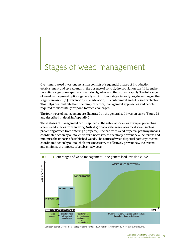## <span id="page-16-0"></span>Stages of weed management

Over time, a weed invasion/incursion consists of sequential phases of introduction, establishment and spread until, in the absence of control, the population can fill its entire potential range. Some species spread slowly, whereas other spread rapidly. The full range of weed management options generally fall into four categories or types, depending on the stage of invasion: (1) prevention, (2) eradication, (3) containment and (4) asset protection. This helps demonstrate the wide range of tactics, management approaches and people required to successfully respond to weed challenges.

The four types of management are illustrated on the generalised invasion curve (Figure 3) and described in detail in Appendix C.

These stages of management can be applied at the national scale (for example, preventing a new weed species from entering Australia) or at a state, regional or local scale (such as preventing a weed from entering a property). The nature of weed dispersal pathways means coordinated action by all stakeholders is necessary to effectively prevent new incursions and minimise the impacts of established weeds. The nature of weed dispersal pathways means coordinated action by all stakeholders is necessary to effectively prevent new incursions and minimise the impacts of established weeds.



FIGURE 3 Four stages of weed management—the generalised invasion curve

Source: Victorian Government (2010) Invasive Plants and Animals Policy Framework, DPI Victoria, Melbourne.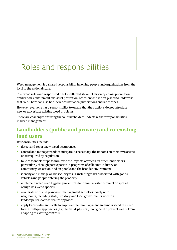## <span id="page-17-0"></span>Roles and responsibilities

Weed management is a shared responsibility, involving people and organisations from the local to the national scale.

The broad roles and responsibilities for different stakeholders vary across prevention, eradication, containment and asset protection, based on who is best placed to undertake that role. There can also be differences between jurisdictions and landscapes.

However, everyone has a responsibility to ensure that their actions do not introduce new or exacerbate existing weed problems.

There are challenges ensuring that all stakeholders undertake their responsibilities in weed management.

### **Landholders (public and private) and co-existing land users**

- detect and report new weed occurrences
- control and manage weeds to mitigate, as necessary, the impacts on their own assets, or as required by regulation
- take reasonable steps to minimise the impacts of weeds on other landholders, particularly through participation in programs of collective industry or community-led action, and on people and the broader environment
- identify and manage all biosecurity risks, including risks associated with goods, vehicles and people entering the property
- implement weed seed hygiene procedures to minimise establishment or spread of high risk weed species
- cooperate with and plan weed management activities jointly with neighbours, including state, territory and local governments, within a landscape scale/cross-tenure approach
- apply knowledge and skills to improve weed management and understand the need to use multiple approaches (e.g. chemical, physical, biological) to prevent weeds from adapting to existing controls.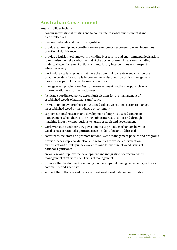### **Australian Government**

- honour international treaties and to contribute to global environmental and trade initiatives
- oversee herbicide and pesticide regulation
- provide leadership and coordination for emergency responses to weed incursions of national significance
- provide a legislative framework, including biosecurity and environmental legislation, to minimise the risk pre-border and at the border of weed incursions including undertaking enforcement actions and regulatory interventions with respect when necessary
- work with people or groups that have the potential to create weed risks before or at the border (for example importers) to assist adoption of risk management measures as part of normal business practices
- manage weed problems on Australian Government land in a responsible way, in co-operation with other landowners
- facilitate coordinated policy across jurisdictions for the management of established weeds of national significance
- provide support where there is sustained collective national action to manage an established weed by an industry or community
- support national research and development of improved weed control or management when there is a strong public interest to do so, and through matching industry contributions to rural research and development
- work with state and territory governments to provide mechanism by which weed issues of national significance can be identified and addressed
- coordinate, facilitate and promote national weed management policies and programs
- provide leadership, coordination and resources for research, evaluation and education to build public awareness and knowledge of weed issues of national significance
- encourage and support the development and integration of effective weed management strategies at all levels of management
- promote the development of ongoing partnerships between governments, industry, community and scientists
- support the collection and collation of national weed data and information.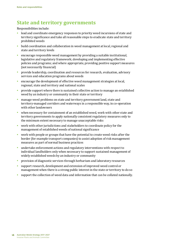### **State and territory governments**

- lead and coordinate emergency responses to priority weed incursions of state and territory significance and take all reasonable steps to eradicate state and territory prohibited weeds
- build coordination and collaboration in weed management at local, regional and state and territory levels
- encourage responsible weed management by providing a suitable institutional, legislative and regulatory framework; developing and implementing effective policies and programs; and where appropriate, providing positive support measures (not necessarily financial)
- provide leadership, coordination and resources for research, evaluation, advisory services and education programs about weeds
- encourage the development of effective weed management strategies at local, regional, state and territory and national scales
- provide support where there is sustained collective action to manage an established weed by an industry or community in their state or territory
- manage weed problems on state and territory government land, state and territory-managed corridors and waterways in a responsible way, in co-operation with other landowners
- when necessary for containment of an established weed, work with other state and territory governments to apply nationally consistent regulatory measures only to the minimum extent necessary to manage unacceptable risks
- work with other jurisdictions and stakeholders to coordinate policy for the management of established weeds of national significance
- work with people or groups that have the potential to create weed risks after the border (for example transport companies) to assist adoption of risk management measures as part of normal business practices
- undertake enforcement actions and regulatory interventions with respect to individual landholders only when necessary to support sustained management of widely established weeds by an industry or community
- provision of diagnostic services through herbarium and laboratory resources
- support research, development and extension of improved weed control or management when there is a strong public interest in the state or territory to do so
- support the collection of weed data and information that can be collated nationally.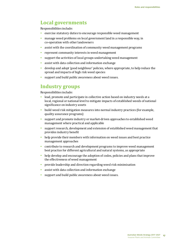### **Local governments**

Responsibilities include:

- exercise statutory duties to encourage responsible weed management
- manage weed problems on local government land in a responsible way, in co-operation with other landowners
- assist with the coordination of community weed management programs
- represent community interests in weed management
- support the activities of local groups undertaking weed management
- assist with data collection and information exchange
- develop and adopt 'good neighbour' policies, where appropriate, to help reduce the spread and impacts of high risk weed species
- support and build public awareness about weed issues.

### **Industry groups**

- lead, promote and participate in collective action based on industry needs at a local, regional or national level to mitigate impacts of established weeds of national significance on industry assets
- build weed risk mitigation measures into normal industry practices (for example, quality assurance programs)
- support and promote industry or market-driven approaches to established weed management where practical and applicable
- support research, development and extension of established weed management that provides industry benefit
- help provide their members with information on weed issues and best practice management approaches
- contribute to research and development programs to improve weed management best practice for different agricultural and natural systems, as appropriate
- help develop and encourage the adoption of codes, policies and plans that improve the effectiveness of weed management
- provide leadership and direction regarding weed risk minimisation
- assist with data collection and information exchange
- support and build public awareness about weed issues.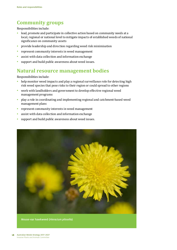## <span id="page-21-0"></span>**Community groups**

Responsibilities include:

- lead, promote and participate in collective action based on community needs at a local, regional or national level to mitigate impacts of established weeds of national significance on community assets
- provide leadership and direction regarding weed risk minimisation
- represent community interests in weed management
- assist with data collection and information exchange
- support and build public awareness about weed issues.

### **Natural resource management bodies**

Responsibilities include:

- help monitor weed impacts and play a regional surveillance role for detecting high risk weed species that pose risks to their region or could spread to other regions
- work with landholders and government to develop effective regional weed management programs
- play a role in coordinating and implementing regional and catchment-based weed management plans
- represent community interests in weed management
- assist with data collection and information exchange
- support and build public awareness about weed issues.



Mouse-ear hawkweed (*Hieracium pilosella*)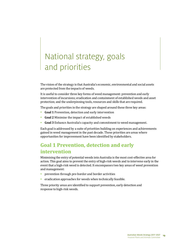## National strategy, goals and priorities

The vision of the strategy is that Australia's economic, environmental and social assets are protected from the impacts of weeds.

It is useful to consider three key forms of weed management: prevention and early intervention of incursions; eradication and containment of established weeds and asset protection; and the underpinning tools, resources and skills that are required.

The goals and priorities in the strategy are shaped around these three key areas:

- **Goal 1** Prevention, detection and early intervention
- **Goal 2** Minimise the impact of established weeds
- **Goal 3** Enhance Australia's capacity and commitment to weed management.

Each goal is addressed by a suite of priorities building on experiences and achievements gained in weed management in the past decade. These priorities are areas where opportunities for improvement have been identified by stakeholders.

### **Goal 1 Prevention, detection and early intervention**

Minimising the entry of potential weeds into Australia is the most cost-effective area for action. This goal aims to prevent the entry of high-risk weeds and to intervene early in the event that a high-risk weed is detected. It encompasses two key areas of weed prevention and management:

- prevention through pre-border and border activities
- eradication approaches for weeds when technically feasible.

Three priority areas are identified to support prevention, early detection and response to high-risk weeds.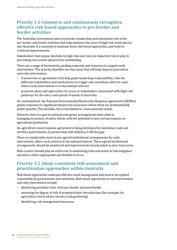### **Priority 1.1 Commit to and continuously strengthen effective risk-based approaches to pre-border and border activities**

The Australian Government aims to provide a leadership and investment role in the pre-border and border activities that help minimise the entry of high-risk weed species into Australia. It is essential to maintain these risk-based approaches, and look for continual improvements.

Stakeholders that expose Australia to high risks also have an important role to play in preventing new weeds species from establishing.

There are a range of frameworks, guiding materials and resources to support early intervention. This priority identifies two key areas that will help improve prevention and early intervention:

- frameworks or agreements that help guide leadership responsibility, roles for different stakeholders and mechanisms to trigger and coordinate effort in cases where early intervention is in the national interest
- proactive plans and approaches for areas or stakeholders associated with high-risk pathways for the entry and spread of weeds in Australia.

At a national level, the National Environmental Biosecurity Response Agreement (NEBRA) guides responses to significant biosecurity incursions where there are predominantly public benefits. This includes, but is not limited to, environmental weeds.

However, there is a gap in national emergency arrangements that relate to managing incursions of exotic weeds with the potential to have serious impacts on agricultural production.

An agriculture weed response agreement is being developed by Australian, state and territory governments, in partnership with industry, to fill this gap.

There is considerable merit in pre-agreed institutional arrangements for early intervention, where such action is in the national interest. These agreed institutional arrangements should be monitored and improvements incorporated as new issues arise.

Risk-creators should play an active role in minimising risks and invest in risk mitigation measures, where appropriate and feasible to do so.

### **Priority 1.2 Adopt consistent risk assessment and prioritisation approaches within Australia**

Risk-based approaches underpin effective weed management and need to be applied consistently by governments and industries. Risk-based approaches to weed prevention and early intervention include:

- identifying potential risks, both pre-border and post-border
- assessing the degree of risk of proposed plant introductions (for example, for agriculture, horticulture, forestry and gardening)
- identifying risk management measures.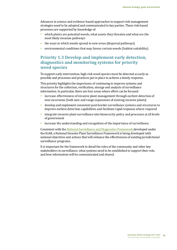Advances in science and evidence-based approaches to support risk management strategies need to be adopted and communicated to key parties. These risk-based processes are supported by knowledge of:

- which plants are potential weeds, what assets they threaten and what are the most likely invasion pathways
- the ways in which weeds spread to new areas (dispersal pathways)
- environmental conditions that may favour certain weeds (habitat suitability).

### **Priority 1.3 Develop and implement early detection, diagnostics and monitoring systems for priority weed species**

To support early intervention, high-risk weed species must be detected as early as possible and processes and practices put in place to achieve a timely response.

This priority highlights the importance of continuing to improve systems and structures for the collection, verification, storage and analysis of surveillance information. In particular, there are four areas where effort can be focused:

- increase effectiveness of invasive plant management through earliest detection of new incursions (both new and range expansions of existing invasive plants)
- develop and implement consistent post-border surveillance systems and structures to improve earliest detection capabilities and facilitate rapid response where required
- integrate invasive plant surveillance into biosecurity policy and processes at all levels of government
- increase the understanding and recognition of the importance of surveillance.

Consistent with the [National Surveillance and Diagnostics Framework](http://www.agriculture.gov.au/biosecurity/partnerships/nbc/intergovernmental-agreement-on-biosecurity/national-surveillance-and-diagnostics-framework) developed under the IGAB, a National Invasive Plant Surveillance Framework is being developed with national objectives and actions that will enhance the effectiveness of existing jurisdictional surveillance programs.

It is important for the framework to detail the roles of the community and other key stakeholders in surveillance, what systems need to be established to support their role, and how information will be communicated and shared.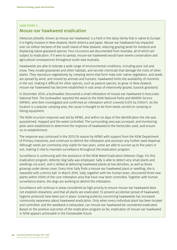#### **CASE STUDY 2**

#### Mouse-ear hawkweed eradication

*Hieracium pilosella*, known as mouse-ear hawkweed, is a herb in the daisy family that is native to Europe. It is highly invasive in New Zealand, North America and Japan. Mouse-ear hawkweed has impacted over six million hectares of the south island of New Zealand, reducing grazing lands for livestock and displacing native grassland species. Four incursions are documented from Australia, all of which are subject to eradication. If it were to spread, mouse-ear hawkweed would have severe conservation and agricultural consequences throughout south-east Australia.

Hawkweeds are able to tolerate a wide range of environmental conditions, including poor soil and snow. They invade grasslands and other habitats, and secrete chemicals that damage the roots of other plants. They reproduce vegetatively by creeping stems that form mats over native vegetation, and seeds are spread by wind, and moved by animals and humans. Hawkweed limits the availability of nutrients in the soil, making it difficult for other species, such as pasture species, to grow. In New Zealand, mouse-ear hawkweed has become established in vast areas of extensively-grazed, tussock grassland.

In December 2014, a bushwalker discovered a small infestation of mouse-ear hawkweed in Kosciusko National Park. The bushwalker reported the weed to the NSW National Parks and Wildlife Service (NPWS), who then investigated and confirmed an infestation which covered 0.015 ha (150m<sup>2</sup>). As the location is a popular camping area, the cause is thought to be from seeds carried on camping or hiking equipment.

The NSW incursion response was led by NPWS, and within six days of the identification the site was quarantined, mapped and the weed controlled. The surrounding area was surveyed, and monitoring plots were established to determine the response of hawkweed to the herbicides used, and ensure no re-establishment.

The response was continued in the 2015/16 season by NPWS with support from the NSW Department of Primary Industries, and continues to delimit the infestation and ascertain any further seed dispersal. Although seeds are commonly only viable for two years, some are able to survive up to five years in soil, making it vital to maintain surveillance throughout the eradication program.

Surveillance is continuing with the assistance of the NSW Weed Eradication Detector Dogs. For this eradication program, detector dog Sally was employed. Sally is able to detect very small plants and seedlings via scent, and is skilled at detecting hawkweed plants at low densities, as well as those growing under dense cover. Every time Sally finds a mouse-ear hawkweed plant or seedling, she is rewarded with a tennis ball. In March 2016, Sally, together with her human team, discovered three new plants within 100m of the core infestation area that have now been controlled. Together with human surveillance teams, the dogs are working to delimit the infestation.

Surveillance will continue in areas considered as high priority to ensure mouse-ear hawkweed does not establish elsewhere, and that all plants are eradicated. To prevent accidental spread of hawkweed, hygiene protocols have been put in place. Growing publicity concerning hawkweeds has increased community awareness about hawkweed eradication. Only when every individual plant has been located and controlled, and the seedbank is exhausted, can mouse-ear hawkweed be considered eradicated. Based on the positive outcomes of the eradication program so far, eradication of mouse-ear hawkweed in NSW appears achievable in the foreseeable future.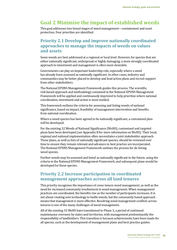### **Goal 2 Minimise the impact of established weeds**

This goal addresses two broad stages of weed management—containment and asset protection. Four priorities are identified.

#### **Priority 2.1 Develop and improve nationally coordinated approaches to manage the impacts of weeds on values and assets**

Some weeds are best addressed at a regional or local level. However, for species that are either nationally significant, widespread or highly damaging, a more strongly coordinated approach to investment and management is often more desirable.

Governments can play an important leadership role, especially where a weed has already been assessed as nationally significant. In other cases, industry and communities may be better placed to develop and lead action plans and recruit support from other stakeholders.

The National EPDNS Management Framework guides this process. The scientific, risk-based approach and methodology contained in the National EPDNS Management Framework will be applied and continuously improved to help prioritise where national coordination, investment and action is most needed.

This framework outlines the criteria for assessing and listing weeds of national significance, based on impact, feasibility of management intervention and benefits from national coordination.

Where a weed species has been agreed to be nationally significant, a customised plan will be developed.

For the existing 32 Weeds of National Significance (WoNS), customised and targeted plans have been developed (see Appendix B for more information on WoNS). Their local, regional and national implementation often necessitates a joint stakeholder approach. These plans, as well as lists of nationally significant species, should be reviewed over time to ensure they remain relevant and advances in best practice are incorporated. The National EPDNS Management Framework outlines the process for de-listing weed species.

Further weeds may be assessed and listed as nationally significant in the future, using the criteria in the National EPDNS Management Framework, and subsequent plans would be developed for these species.

#### **Priority 2.2 Increase participation in coordinated management approaches across all land tenures**

This priority recognises the importance of cross-tenure weed management, as well as the need for increased community involvement in weed management. When management practices are coordinated, the benefits rise as the number of participants increases. It is not about creating new technology to battle weeds, but the community based approach means that management is more effective. Resolving weed management conflicts across tenures is one of the many challenges of weed management.

All of the existing 32 WoNS have transitioned to Phase 3, a period of continued maintenance overseen by states and territories, with management predominantly the responsibility of landholders. This transition is because achievements have been made for all species, such as the development of management plans and best practice guides.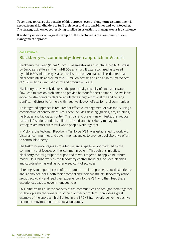To continue to realise the benefits of this approach over the long-term, a commitment is needed from all landholders to fulfil their roles and responsibilities and work together. The strategy acknowledges resolving conflicts in priorities to manage weeds is a challenge.

Blackberry in Victoria is a great example of the effectiveness of a community driven management approach.

#### **CASE STUDY 3**

### Blackberry—a community-driven approach in Victoria

Blackberry the weed (*Rubus fruticosus* aggregate) was first introduced to Australia by European settlers in the mid-1800s as a fruit. It was recognised as a weed by mid-1880s. Blackberry is a serious issue across Australia. It is estimated that blackberry infests approximately 8.8 million hectares of land at an estimated cost of \$103 million in annual control and production losses.

Blackberry can severely decrease the productivity capacity of land, alter water flow, lead to erosion problems and provide harbour for pest animals. The available evidence also points to blackberry inflicting a high emotional toll and causing significant distress to farmers with negative flow-on effects for rural communities.

An integrated approach is required for effective management of blackberry using a combination of control measures. These includes slashing, grazing, fire, grubbing, herbicides and biological control. The goal is to prevent new infestations, reduce current infestations and rehabilitate infested land. Blackberry management strategies are most successful when people work together.

In Victoria, the Victorian Blackberry Taskforce (VBT) was established to work with Victorian communities and government agencies to provide a collaborative effort to control blackberry.

The taskforce encourages a cross-tenure landscape level approach led by the community that focuses on the 'common problem'. Through this initiative, blackberry control groups are supported to work together to apply a nil-tenure model. On-ground work by the blackberry control group has included planning and coordination as well as other weed control activities.

Listening is an important part of the approach—to local problems, local experience and landholder ideas, both their potential and their constraints. Blackberry action groups act locally and feed their experience into the VBT, who then feed these experiences back to government agencies.

This initiative has built the capacity of the communities and brought them together to develop a shared ownership of the blackberry problem. It provides a great example of the approach highlighted in the EPDNS framework, delivering positive economic, environmental and social outcomes.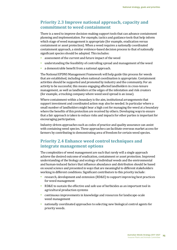#### **Priority 2.3 Improve national approach, capacity and commitment to weed containment**

There is a need to improve decision-making support tools that can advance containment planning and implementation. For example, tactics and guidance tools that help inform which stage of weed management is appropriate (for example, eradication versus containment or asset protection). When a weed requires a nationally coordinated containment approach, a similar evidence-based decision process to that of nationally significant species should be adopted. This includes:

- assessment of the current and future impact of the weed
- understanding the feasibility of controlling spread and management of the weed
- a demonstrable benefit from a national approach.

The National EPDNS Management Framework will help guide this process for weeds that are established, including when national coordination is appropriate. Containment activities should be supported and promoted by industry and the community. For an activity to be successful, this means engaging affected landholders in cross-tenure management, as well as landholders at the edges of the infestation and risk creators (for example, a trucking company where weed seed spread is an issue).

Where containment within a boundary is the aim, institutional arrangements that support investment and coordinated action may also be needed. In particular where a small number of landholders might bear a high cost for managing the weed at a boundary where the benefits of this protection are received by others. Developing ways to ensure that a fair approach is taken to reduce risks and impacts for other parties is important for encouraging participation.

Industry-driven approaches such as codes of practice and quality assurance can assist with containing weed species. These approaches can facilitate overseas market access for farmers by contributing to demonstrating area of freedom for certain weed species.

### **Priority 2.4 Enhance weed control techniques and integrate management options**

The complexities of weed management are such that rarely will a single approach achieve the desired outcome of eradication, containment or asset protection. Improved understanding of the biology and ecology of individual weeds and the environmental and human-induced factors that influence abundance and distribution should be based on sound science and presented in ways that are meaningful to different stakeholders working in different conditions. Significant contributors to this priority include:

- research, development and extension (RD&E) to support improving best practices for weed management
- RD&E to sustain the effective and safe use of herbicides as an important tool in agricultural production systems
- continuous improvements in knowledge and resources for landscape-scale weed management
- nationally coordinated approaches to selecting new biological control agents for priority weeds.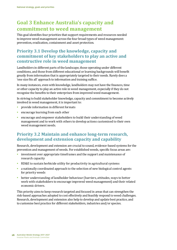### **Goal 3 Enhance Australia's capacity and commitment to weed management**

This goal identifies four priorities that support requirements and resources needed to improve weed management across the four broad types of weed management: prevention, eradication, containment and asset protection.

### **Priority 3.1 Develop the knowledge, capacity and commitment of key stakeholders to play an active and constructive role in weed management**

Landholders in different parts of the landscape, those operating under different conditions, and those from different educational or learning backgrounds will benefit greatly from information that is appropriately targeted to their needs. Rarely does a 'one size fits all' approach to information and training suffice.

In many instances, even with knowledge, landholders may not have the finances, time or other capacity to play an active role in weed management, especially if they do not recognise the benefits to their enterprises from improved weed management.

In striving to build stakeholder knowledge, capacity and commitment to become actively involved in weed management, it is important to:

- provide information in different formats
- encourage learning from each other
- encourage and empower stakeholders to build their understanding of weed management and to work with others to develop actions customised to their own weed management needs.

### **Priority 3.2 Maintain and enhance long-term research, development and extension capacity and capability**

Research, development and extension are crucial to sound, evidence-based systems for the prevention and management of weeds. For established weeds, specific focus areas are:

- investment over appropriate timeframes and the support and maintenance of research capacity
- RD&E to sustain herbicide utility for productivity in agricultural systems
- a nationally coordinated approach to the selection of new biological control agents for priority weeds
- better understanding of landholder behaviour (barriers, attitudes, ways to better work with stakeholders to encourage improved weed management) and their related economic drivers.

This priority aims to keep research targeted and focused in areas that can strengthen the risk-based approaches adopted to cost effectively and feasibly respond to weed challenges. Research, development and extension also help to develop and update best practice, and to customise best practice for different stakeholders, industries and/or species.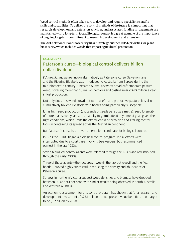Weed control methods often take years to develop, and require specialist scientific skills and capabilities. To deliver the control methods of the future it is important that research, development and extension activities, and associated funding arrangements are maintained with a long-term focus. Biological control is a great example of the importance of ongoing long-term commitment to research, development and extension.

The 2013 National Plant Biosecurity RD&E Strategy outlines RD&E priorities for plant biosecurity, which includes weeds that impact agricultural production.

#### **CASE STUDY 4**

### Paterson's curse—biological control delivers billion dollar dividend

*Echium plantagineum* known alternatively as Paterson's curse, Salvation Jane and the Riverina Bluebell, was introduced to Australia from Europe during the mid-nineteenth century. It became Australia's worst broadleaf temperate pasture weed, covering more than 10 million hectares and costing nearly \$40 million a year in lost production.

Not only does this weed crowd out more useful and productive pasture, it is also cumulatively toxic to livestock, with horses being particularly susceptible.

It has high seed production (thousands of seeds per square metre), seed longevity of more than seven years and an ability to germinate at any time of year, given the right conditions, which limits the effectiveness of herbicide and grazing control tools in containing its spread across the Australian continent.

But Paterson's curse has proved an excellent candidate for biological control.

In 1970 the CSIRO began a biological control program. Initial efforts were interrupted due to a court case involving bee keepers, but recommenced in earnest in the late 1980s.

Seven biological control agents were released through the 1990s and redistributed through the early 2000s.

Three of those agents—the root crown weevil, the taproot weevil and the flea beetle—proved highly successful in reducing the density and abundance of Paterson's curse.

Surveys in northern Victoria suggest weed densities and biomass have dropped between 80 and 90 per cent, with similar results being observed in South Australia and Western Australia.

An economic assessment for this control program has shown that for a research and development investment of \$23.1 million the net present value benefits are on target to be \$1.2 billion by 2050.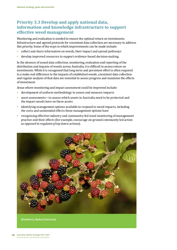### **Priority 3.3 Develop and apply national data, information and knowledge infrastructure to support effective weed management**

Monitoring and evaluation is needed to ensure the optimal return on investments. Infrastructure and agreed protocols for consistent data collection are necessary to address this priority. Some of the ways in which improvements can be made include:

- collect and share information on weeds, their impact and spread pathways
- develop improved resources to support evidence-based decision-making.

In the absence of sound data collection, monitoring, evaluation and reporting of the distribution and impacts of weeds across Australia, it is difficult to assess return on investments. While it is recognised that long-term and persistent effort is often required to a make real difference to the impacts of established weeds, consistent data collection and regular analysis of that data are essential to assess progress and maximise the effects of investment.

Areas where monitoring and impact assessment could be improved include:

- development of uniform methodology to assess and measure impacts
- asset assessments—to assess which assets in Australia need to be protected and the impact weeds have on these assets
- identifying management options available to respond to weed impacts, including the costs and unintended effects these management options have
- recognising effective industry and community-led weed monitoring of management practice and their effects (for example, encourage on-ground community led action as opposed to regulatory/top down actions).



Blackberry (*Rubus fruticosus*)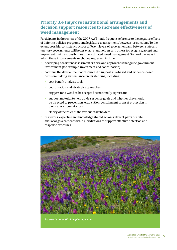### **Priority 3.4 Improve institutional arrangements and decision support resources to increase effectiveness of weed management**

Participants in the review of the 2007 AWS made frequent reference to the negative effects of differing policies, programs and legislative arrangements between jurisdictions. To the extent possible, consistency across different levels of government and between state and territory governments will better enable landholders and others to recognise, accept and implement their responsibilities in coordinated weed management. Some of the ways in which these improvements might be progressed include:

- developing consistent assessment criteria and approaches that guide government involvement (for example, investment and coordination)
- continue the development of resources to support risk-based and evidence-based decision-making and enhance understanding, including:
	- cost benefit analysis tools
	- coordination and strategic approaches
	- triggers for a weed to be accepted as nationally significant
	- support material to help guide response goals and whether they should be directed to prevention, eradication, containment or asset protection in particular circumstances
	- clarity of the roles of the various stakeholders
- resources, expertise and knowledge shared across relevant parts of state and local government within jurisdictions to support effective detection and response processes.



Paterson's curse (*Echium plantagineum*)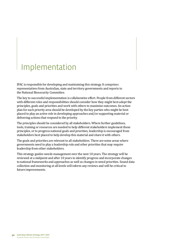## <span id="page-33-0"></span>Implementation

IPAC is responsible for developing and maintaining this strategy. It comprises representatives from Australian, state and territory governments and reports to the National Biosecurity Committee.

The key to successful implementation is collaborative effort. People from different sectors with different roles and responsibilities should consider how they might best adopt the principles, goals and priorities and work with others to maximise outcomes. An action plan for each priority area should be developed by the key parties who might be best placed to play an active role in developing approaches and/or supporting material or delivering actions that respond to the priority.

The principles should be considered by all stakeholders. Where further guidelines, tools, training or resources are needed to help different stakeholders implement these principles, or to progress national goals and priorities, leadership is encouraged from stakeholders best placed to help develop this material and share it with others.

The goals and priorities are relevant to all stakeholders. There are some areas where governments need to play a leadership role and other priorities that may require leadership from other stakeholders.

This strategy guides weeds management over the next 10 years. The strategy will be reviewed at a midpoint and after 10 years to identify progress and incorporate changes to national frameworks and approaches as well as changes in weed priorities. Sound data collection and monitoring at all levels will inform any reviews and will be critical to future improvements.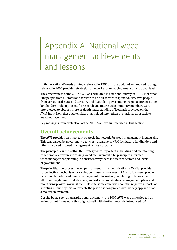## <span id="page-34-0"></span>Appendix A: National weed management achievements and lessons

Both the National Weeds Strategy released in 1997 and the updated and revised strategy released in 2007 provided strategic frameworks for managing weeds at a national level.

The effectiveness of the 2007 AWS was evaluated in a national survey in 2013. More than 200 people from all states and territories and all sectors responded. Fifty-two people from across local, state and territory and Australian governments, regional organisations, landholders, industry, scientific research and interested community members were interviewed to obtain a more in-depth understanding of feedback provided on the AWS. Input from these stakeholders has helped strengthen the national approach to weed management.

Key messages from evaluation of the 2007 AWS are summarised in this section.

### **Overall achievements**

The AWS provided an important strategic framework for weed management in Australia. This was valued by government agencies, researchers, NRM facilitators, landholders and others involved in weed management across Australia.

The principles agreed within the strategy were important in building and maintaining collaborative effort in addressing weed management. The principles informed weed management planning in consistent ways across different sectors and levels of government.

The prioritisation process developed for weeds (the identification of WoNS) provided a cost-effective mechanism for raising community awareness of Australia's weed problems, providing targeted and timely management information, facilitating collaborative effort among different stakeholders, and establishing strategic management plans and monitoring progress against them. Despite some concerns about the negative impacts of adopting a single-species approach, the prioritisation process was widely applauded as a major achievement.

Despite being seen as an aspirational document, the 2007 AWS was acknowledged as an important framework that aligned well with the then recently introduced IGAB.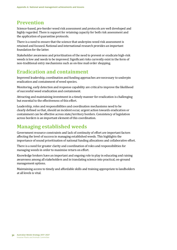### **Prevention**

Science-based, pre-border weed risk assessment and protocols are well developed and highly regarded. There is support for retaining capacity for both risk assessment and the application of quarantine protocols.

There is a need to ensure that the science that underpins weed risk assessment is retained and focused. National and international research provides an important foundation for the latter.

Stakeholder awareness and prioritisation of the need to prevent or eradicate high-risk weeds is low and needs to be improved. Significant risks currently exist in the form of non-traditional entry mechanisms such as on-line mail order shopping.

### **Eradication and containment**

Improved leadership, coordination and funding approaches are necessary to underpin eradication and containment of weed species.

Monitoring, early detection and response capability are critical to improve the likelihood of successful weed eradication and containment.

Attracting and maintaining investment in a timely manner for eradication is challenging but essential to the effectiveness of this effort.

Leadership, roles and responsibilities and coordination mechanisms need to be clearly defined so that, should an incident occur, urgent action towards eradication or containment can be effective across state/territory borders. Consistency of legislation across borders is an important element of this coordination.

### **Managing established weeds**

Government resource constraints and lack of continuity of effort are important factors affecting the level of success in managing established weeds. This highlights the importance of sound prioritisation of national funding allocations and collaborative effort.

There is a need for greater clarity and coordination of roles and responsibilities for managing weeds in order to maximise return on effort.

Knowledge brokers have an important and ongoing role to play in educating and raising awareness among all stakeholders and in translating science into practical, on-ground management options.

Maintaining access to timely and affordable skills and training appropriate to landholders at all levels is vital.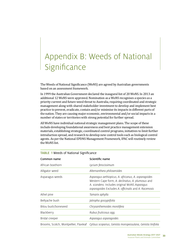## <span id="page-36-0"></span>Appendix B: Weeds of National **Significance**

The Weeds of National Significance (WoNS) are agreed by Australian governments based on an assessment framework.

In 1999 the Australian Government declared the inaugural list of 20 WoNS. In 2013 an additional 12 WoNS were approved. Nomination as a WoNS recognises a species as a priority current and future weed threat to Australia, requiring coordinated and strategic management along with shared stakeholder investment to develop and implement best practice to prevent, eradicate, contain and/or minimise its impacts in different parts of the nation. They are causing major economic, environmental and/or social impacts in a number of states or territories with strong potential for further spread.

All WoNS have individual national strategic management plans. The scope of these include developing foundational awareness and best practice management extension materials, establishing strategic, coordinated control programs, initiatives to limit further introduction spread, and research to develop new control tools such as biological control agents. As per the National EPDNS Management Framework, IPAC will routinely review the WoNS list.

| Common name         | Scientific name                                                                                                                                                                                                     |  |  |
|---------------------|---------------------------------------------------------------------------------------------------------------------------------------------------------------------------------------------------------------------|--|--|
| African boxthorn    | Lycium ferocissimum                                                                                                                                                                                                 |  |  |
| Alligator weed      | Alternanthera philoxeroides                                                                                                                                                                                         |  |  |
| Asparagus weeds     | Asparagus aethiopicus, A. africanus, A. asparagoides<br>Western Cape form, A. declinatus, A. plumosus and<br>A. scandens. Includes original WoNS Asparagus<br>asparagoides Excludes A. officinalis and A. Racemosis |  |  |
| Athel pine          | Tamarix aphylla                                                                                                                                                                                                     |  |  |
| Bellyache bush      | Jatropha gossypiifolia                                                                                                                                                                                              |  |  |
| Bitou bush/boneseed | Chrysanthemoides monilifera                                                                                                                                                                                         |  |  |
| Blackberry          | Rubus fruticosus agg.                                                                                                                                                                                               |  |  |
| Bridal creeper      | Asparagus asparagoides                                                                                                                                                                                              |  |  |
|                     | Brooms, Scotch, Montpellier, Flaxleaf Cytisus scoparius, Genista monspessulana, Genista linifolia                                                                                                                   |  |  |

#### TABLE 1 Weeds of National Significance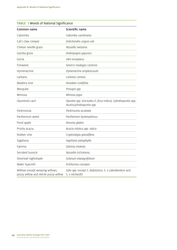| <b>TABLE 1 Weeds of National Significance</b>                            |                                                                                            |  |  |
|--------------------------------------------------------------------------|--------------------------------------------------------------------------------------------|--|--|
| Common name                                                              | Scientific name                                                                            |  |  |
| Cabomba                                                                  | Cabomba caroliniana                                                                        |  |  |
| Cat's claw creeper                                                       | Dolichandra unguis-cati                                                                    |  |  |
| Chilean needle grass                                                     | Nassella neesiana                                                                          |  |  |
| Gamba grass                                                              | Andropogon gayunus                                                                         |  |  |
| Gorse                                                                    | Ulex europaeus                                                                             |  |  |
| Fireweed                                                                 | Senecio madagas cariensis                                                                  |  |  |
| Hymenachne                                                               | Hymenachne amplexicaulis                                                                   |  |  |
| Lantana                                                                  | Lantana camara                                                                             |  |  |
| Madeira vine                                                             | Anredera cordifolia                                                                        |  |  |
| Mesquite                                                                 | Prosopis spp.                                                                              |  |  |
| Mimosa                                                                   | Mimosa pigra                                                                               |  |  |
| Opuntioid cacti                                                          | Opuntia spp. (excludes O. ficus-indica), Cylindropuntia spp.,<br>Austrocylindropuntia spp. |  |  |
| Parkinsonia                                                              | Parkinsonia acuteata                                                                       |  |  |
| Parthenium weed                                                          | Parthenium hysterophorus                                                                   |  |  |
| Pond apple                                                               | Annona glabra                                                                              |  |  |
| Prickly acacia                                                           | Acacia nilotica spp. indica                                                                |  |  |
| Rubber vine                                                              | Cryptostegia grandiflora                                                                   |  |  |
| Sagittaria                                                               | Sagittaria platyphylla                                                                     |  |  |
| Salvinia                                                                 | Salvinia molesta                                                                           |  |  |
| Serrated tussock                                                         | Nassella trichotama                                                                        |  |  |
| Silverleaf nightshade                                                    | Solanum elaeagnifolium                                                                     |  |  |
| Water hyacinth                                                           | Eichhornia crassipes                                                                       |  |  |
| Willows except weeping willows,<br>pussy willow and sterile pussy willow | Salix spp. except S. babvlonica, S. x calendendron and<br>S. x reichardtii                 |  |  |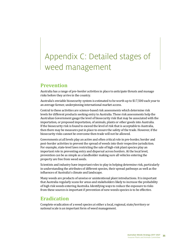## <span id="page-38-0"></span>Appendix C: Detailed stages of weed management

### **Prevention**

Australia has a range of pre-border activities in place to anticipate threats and manage risks before they arrive in the country.

Australia's enviable biosecurity system is estimated to be worth up to \$17,500 each year to an average farmer, underpinning international market access.

Central to these activities are science-based risk assessments which determine risk levels for different products seeking entry to Australia. These risk assessments help the Australian Government gauge the level of biosecurity risk that may be associated with the importation, or proposed importation, of animals, plants or other goods into Australia. If the biosecurity risk is found to exceed the level of risk that is acceptable to Australia, then there may be measures put in place to ensure the safety of the trade. However, if the biosecurity risks cannot be overcome then trade will not be allowed.

Governments at all levels play an active and often critical role in pre-border, border and post-border activities to prevent the spread of weeds into their respective jurisdiction. For example, state-level laws restricting the sale of high-risk plant species play an important role in preventing entry and dispersal across borders. At the local level, prevention can be as simple as a landholder making sure all vehicles entering the property are free from weed seeds.

Scientists and industry have important roles to play in helping determine risk, particularly in understanding the attributes of different species, their spread pathways as well as the influences of Australia's climate and landscape.

Many weeds are products of unwise or unintentional plant introductions. It is important that Australia regularly scans for areas and stakeholders likely to increase the probability of high risk weeds entering Australia. Identifying ways to reduce the exposure to risks from these sources is important if prevention of new weeds species is to be effective.

### **Eradication**

Complete eradication of a weed species at either a local, regional, state/territory or national scale is an important form of weed management.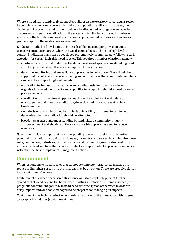Where a weed has recently arrived into Australia, or a state/territory, or particular region, its complete removal may be feasible, while the population is still small. However, the challenges of successful eradication should not be discounted. A range of weed species are currently targets for eradication in the states and territories and a small number of species are the targets of national eradication projects, funded by states and territories in partnership with the Australian Government.

Eradication at the local level tends to be less feasible, since on-going invasion tends to occur from adjacent areas, where the weed is not subject to the same high level of control. Eradication plans can be developed pre-emptively, or immediately following early detection, for certain high-risk weed species. This requires a number of actions, namely:

- risk-based analysis that underpins the determination of species considered high-risk and the type of strategy that may be required for eradication
- detection, monitoring and surveillance approaches to be in place. These should be supported by risk-based decision-making and outline ways that community members can detect and report high-risk weeds
- eradication techniques to be available and continuously improved. People and organisations need the capacity and capability to act quickly should a weed become a priority for action
- coordination and investment approaches that will enable key stakeholders to work together and invest in eradication, detection and spread-prevention in a timely manner
- clear decision points, informed by analysis of feasibility and benefit-cost, to help determine whether eradication should be attempted
- broader awareness and understanding by landholders, community, industry and government stakeholders of the risk of possible approaches used to reduce weed risks.

Governments play an important role in responding to weed incursions that have the potential to be nationally significant. However, for Australia to successfully minimise these risks, landholders, industries, natural resource and community groups also need to be actively involved and have the capacity to detect and report potential problems and work with other parties to implement management actions.

### **Containment**

When responding to weed species that cannot be completely eradicated, measures to reduce or limit their spread into at-risk areas may be an option. These are broadly referred to as 'containment' actions.

Containment of a weed species in a strict sense aims to completely prevent further spread of that weed beyond the boundary of existing infestations. In some instances, the pragmatic containment goal may instead be to slow the spread of the weed in order to delay impacts and/or enable managers to be prepared for managing its impacts.

Containment may include reduction of the density or area of the infestation within agreed geographic boundaries (containment lines).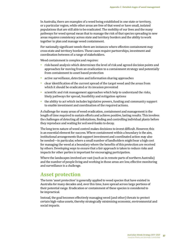In Australia, there are examples of a weed being established in one state or territory, or a particular region, while other areas are free of that weed or have small, isolated populations that are still able to be eradicated. The mobility of our lives and the many pathways for weed spread mean that to manage the risk of that species spreading to new areas requires consistency across state and territory borders and the ability to work together to plan and manage weed containment.

For nationally significant weeds there are instances where effective containment may cross state and territory borders. These cases require partnerships, investment and coordination between of a range of stakeholders.

Weed containment is complex and requires:

- risk-based analysis which determines the level of risk and agreed decision points and approaches for moving from an eradication to a containment strategy and potentially from containment to asset based protection
- active surveillance, detection and information sharing approaches
- clear identification of the current spread of the target weed and the areas from which it should be eradicated or its invasion prevented
- scientific and risk management approaches which help to understand the risks, likely pathways for spread, feasibility and mitigation options
- the ability to act which includes legislative powers, funding and community support to enable investment and coordination of the required actions.

A challenge for many areas of weed eradication, containment and management is the length of time required to sustain efforts and achieve positive, lasting results. This involves the challenges of detecting all infestations, finding and controlling individual plants before they reproduce and waiting for soil seed-banks to decay.

The long term nature of weed control makes decisions to invest difficult. However, this is an essential element for success. Where containment within a boundary is the aim, institutional arrangements that support investment and coordinated action may also be needed—in particular, where a small number of landholders might bear a high cost for managing the weed at a boundary where the benefits of this protection are received by others. Developing ways to ensure that a fair approach is taken to reduce risks and impacts for other parties is important for encouraging participation.

Where the landscapes involved are vast (such as in remote parts of northern Australia) and the number of people living and working in those areas are low, effective monitoring and surveillance is a challenge.

### **Asset protection**

The term 'asset protection' is generally applied to weed species that have existed in Australia for many decades and, over this time, have spread across large portions of their potential range. Eradication or containment of these species is considered to be impractical.

Instead, the goal becomes effectively managing weed (and other) threats to protect certain high-value assets, thereby strategically minimising economic, environmental and social impacts.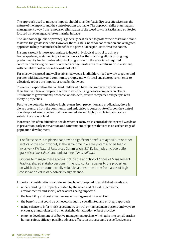The approach used to mitigate impacts should consider feasibility, cost effectiveness, the nature of the impacts and the control options available. The approach shifts planning and management away from removal or elimination of the weed towards tactics and strategies focused on reducing adverse or harmful impacts.

The landholder (public or private) is generally best placed to protect their assets and stand to derive the greatest benefit. However, there is still a need for coordination and a targeted approach to help maximise the benefits to a particular region, state or to the nation.

In some cases, it is more appropriate to invest in biological control to achieve landscape-level, sustained impact reduction, rather than focusing efforts on ongoing, predominantly herbicide-based control programs with the associated required coordination. Biological control of weeds can generate attractive returns on investment, with benefit to cost ratios in the order of 23:1.

For most widespread and well established weeds, landholders need to work together and partner with industry and community groups, and with local and state governments, to effectively reduce the impacts created by that weed.

There is an expectation that all landholders who have declared weed species on their land will take appropriate action to avoid causing negative impacts on others. This includes governments, absentee landholders, private companies and people with lifestyle properties.

Despite the potential to achieve high returns from prevention and eradication, there is always pressure from the community and industries to concentrate effort on the control of widespread weed species that have immediate and highly visible impacts across substantial areas of land.

Moreover, it is often difficult to decide whether to invest in control of widespread weeds or in prevention, early intervention and containment of species that are in an earlier stage of population development.

'Conflict species' are plants that provide significant benefits to agriculture or other sectors of the economy but, at the same time, have the potential to be highly invasive (NSW Natural Resources Commission, 2014). Examples include buffel grass (*Cenchrus ciliaris*) and radiata pine (*Pinus radiata*).

Options to manage these species include the adoption of Codes of Management Practice, shared stakeholder commitment to contain species to the properties on which they are commercially valuable, and exclude them from areas of high conservation value or biodiversity significance.

Important considerations for determining how to respond to established weeds are:

- understanding the impacts created by the weed and the value (economic, environmental and social) of the assets being impacted
- the feasibility and cost effectiveness of management intervention
- the benefits that could be achieved through a coordinated and strategic approach
- using science to inform risk assessment, control or management options and ways to encourage landholder and other stakeholder adoption of best practice
- ongoing development of effective management options which take into consideration human safety, efficacy, possible adverse effects on the asset and cost effectiveness.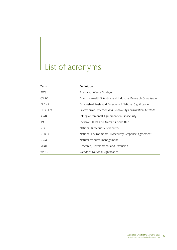## <span id="page-42-0"></span>List of acronyms

| Term         | <b>Definition</b>                                             |
|--------------|---------------------------------------------------------------|
| AWS          | Australian Weeds Strategy                                     |
| <b>CSIRO</b> | Commonwealth Scientific and Industrial Research Organisation  |
| EPDNS        | Established Pests and Diseases of National Significance       |
| EPBC Act     | Environment Protection and Biodiversity Conservation Act 1999 |
| <b>IGAB</b>  | Intergovernmental Agreement on Biosecurity                    |
| <b>IPAC</b>  | Invasive Plants and Animals Committee                         |
| <b>NBC</b>   | National Biosecurity Committee                                |
| <b>NEBRA</b> | National Environmental Biosecurity Response Agreement         |
| <b>NRM</b>   | Natural resource management                                   |
| RD&E         | Research, Development and Extension                           |
| <b>WONS</b>  | Weeds of National Significance                                |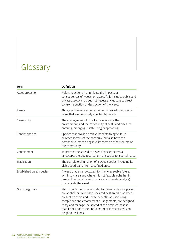## <span id="page-43-0"></span>Glossary

| Term                     | <b>Definition</b>                                                                                                                                                                                                                                                                                                                                                             |  |
|--------------------------|-------------------------------------------------------------------------------------------------------------------------------------------------------------------------------------------------------------------------------------------------------------------------------------------------------------------------------------------------------------------------------|--|
| Asset protection         | Refers to actions that mitigate the impacts or<br>consequences of weeds, on assets (this includes public and<br>private assets) and does not necessarily equate to direct<br>control, reduction or destruction of the weed.                                                                                                                                                   |  |
| Assets                   | Things with significant environmental, social or economic<br>value that are negatively affected by weeds                                                                                                                                                                                                                                                                      |  |
| Biosecurity              | The management of risks to the economy, the<br>environment, and the community of pests and diseases<br>entering, emerging, establishing or spreading.                                                                                                                                                                                                                         |  |
| Conflict species         | Species that provide positive benefits to agriculture<br>or other sectors of the economy, but also have the<br>potential to impose negative impacts on other sectors or<br>the community.                                                                                                                                                                                     |  |
| Containment              | To prevent the spread of a weed species across a<br>landscape, thereby restricting that species to a certain area.                                                                                                                                                                                                                                                            |  |
| Eradication              | The complete elimination of a weed species, including its<br>viable seed-bank, from a defined area.                                                                                                                                                                                                                                                                           |  |
| Established weed species | A weed that is perpetuated, for the foreseeable future,<br>within any area and where it is not feasible (whether in<br>terms of technical feasibility or a cost: benefit analysis)<br>to eradicate the weed.                                                                                                                                                                  |  |
| Good neighbour           | 'Good neighbour' policies refer to the expectations placed<br>on landholders who have declared pest animals or weeds<br>present on their land. These expectations, including<br>compliance and enforcement arrangements, are designed<br>to try and manage the spread of the declared pest so<br>that it does not cause undue harm or increase costs on<br>neighbour's lands. |  |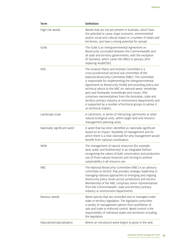| Term                        | <b>Definition</b>                                                                                                                                                                                                                                                                                                                                                                                                                                                                                                                                                                                                 |
|-----------------------------|-------------------------------------------------------------------------------------------------------------------------------------------------------------------------------------------------------------------------------------------------------------------------------------------------------------------------------------------------------------------------------------------------------------------------------------------------------------------------------------------------------------------------------------------------------------------------------------------------------------------|
| High-risk weeds             | Weeds that are not yet present in Australia, which have<br>the potential to cause major economic, environmental<br>and/or social and cultural impact in a number of states and<br>territories, and have a strong potential for spread.                                                                                                                                                                                                                                                                                                                                                                            |
| <b>IGAB</b>                 | The IGAB is an Intergovernmental Agreement on<br>Biosecurity concluded between the Commonwealth and<br>all state and territory governments, with the exception<br>of Tasmania, which came into effect in January 2012<br>replacing AusBIOSEC.                                                                                                                                                                                                                                                                                                                                                                     |
| <b>IPAC</b>                 | The Invasive Plants and Animals Committee is a<br>cross-jurisdictional sectoral sub-committee of the<br>National Biosecurity Committee (NBC). The committee<br>is responsible for implementing the Intergovernmental<br>Agreement on Biosecurity (IGAB) and providing policy and<br>technical advice to the NBC on national weed, vertebrate<br>pest and freshwater invertebrate pest issues. IPAC<br>comprises representatives from the Australian, state and<br>territory primary industry or environment departments and<br>is supported by a number of technical groups to advise it<br>on technical matters. |
| Landscape scale             | A catchment, or series of interacting catchments or other<br>natural ecological units, within larger land and resource<br>management planning areas.                                                                                                                                                                                                                                                                                                                                                                                                                                                              |
| Nationally significant weed | A weed that has been identified as nationally significant<br>based on its impact, feasibility of management and for<br>which there is a clear rationale for why management would<br>benefit from national coordination.                                                                                                                                                                                                                                                                                                                                                                                           |
| <b>NRM</b>                  | The management of natural resources (for example,<br>land, water and biodiversity) in an integrated fashion<br>recognising the values of both conservation and productive<br>use of those natural resources and striving to achieve<br>sustainability in all resource use.                                                                                                                                                                                                                                                                                                                                        |
| <b>NBC</b>                  | The National Biosecurity Committee (NBC) is an advisory<br>committee to AGSOC that provides strategic leadership in<br>managing national approaches to emerging and ongoing<br>biosecurity policy issues across jurisdictions and sectors.<br>Membership of the NBC comprises senior representatives<br>from the Commonwealth, state and territory primary<br>industry or environment departments.                                                                                                                                                                                                                |
| Noxious weeds               | Weed species that are controlled and or managed under<br>state or territory legislation. The legislation prescribes<br>a variety of management options from prohibition of<br>sale and trade to enforced control. Weed control is the<br>responsibility of individual states and territories including<br>the legislation.                                                                                                                                                                                                                                                                                        |
| Naturalised/naturalisation  | Where an introduced weed begins to grow in the wild.                                                                                                                                                                                                                                                                                                                                                                                                                                                                                                                                                              |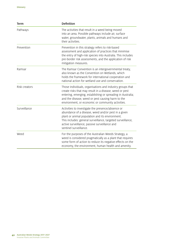| Term          | <b>Definition</b>                                                                                                                                                                                                                                                                                     |  |
|---------------|-------------------------------------------------------------------------------------------------------------------------------------------------------------------------------------------------------------------------------------------------------------------------------------------------------|--|
| Pathways      | The activities that result in a weed being moved<br>into an area. Possible pathways include air, surface<br>water, groundwater, plants, animals and humans and<br>their activities.                                                                                                                   |  |
| Prevention    | Prevention in this strategy refers to risk-based<br>assessment and application of practices that minimise<br>the entry of high-risk species into Australia. This includes<br>pre-border risk assessments, and the application of risk<br>mitigation measures.                                         |  |
| Ramsar        | The Ramsar Convention is an intergovernmental treaty,<br>also known as the Convention on Wetlands, which<br>holds the framework for international cooperation and<br>national action for wetland use and conservation.                                                                                |  |
| Risk creators | Those individuals, organisations and industry groups that<br>create risks that may result in a disease, weed or pest<br>entering, emerging, establishing or spreading in Australia;<br>and the disease, weed or pest causing harm to the<br>environment, or economic or community activities.         |  |
| Surveillance  | Activities to investigate the presence/absence or<br>abundance of a disease, weed and/or pest in a given<br>plant or animal population and its environment.<br>This includes: general surveillance, targeted surveillance,<br>active surveillance, passive surveillance and<br>sentinel surveillance. |  |
| Weed          | For the purposes of the Australian Weeds Strategy, a<br>weed is considered pragmatically as a plant that requires<br>some form of action to reduce its negative effects on the<br>economy, the environment, human health and amenity.                                                                 |  |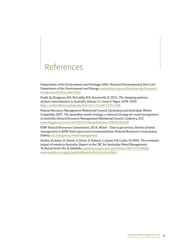## <span id="page-46-0"></span>References

Department of the Environment and Heritage 2000, 'National Environmental Alert List', Department of the Environment and Energy, [environment.gov.au/biodiversity/invasive/](http://www.environment.gov.au/biodiversity/invasive/weeds/weeds/lists/alert.html) [weeds/weeds/lists/alert.html](http://www.environment.gov.au/biodiversity/invasive/weeds/weeds/lists/alert.html)

Dodd, AJ, Brugman, MA, McCatthy, MA, Ainsworth, N, 2015, *The changing patterns of plant naturalization in Australia,* Volume 21, Issue 9, Pages 1038–1050. <http://onlinelibrary.wiley.com/doi/10.1111/ddi.12351/full>

Natural Resource Management Ministerial Council (Australia) and Australian Weeds Committee 2007. *The Australian weeds strategy: a national strategy for weed management in Australia*, Natural Resource Management Ministerial Council, Canberra, ACT, [trove.nla.gov.au/work/32510266?selectedversion=NBD42262689](http://trove.nla.gov.au/work/32510266?selectedversion=NBD42262689)

NSW Natural Resources Commission, 2014, *Weeds - Time to get serious. Review of weed management in NSW. Final report and recommendations*, Natural Resources Commission, Sydney, [nrc.nsw.gov.au/weed-management](http://www.nrc.nsw.gov.au/weed-management)

Sinden, JA, Jones, R, Hester, S, Odom, D, Kalisch, C, James, R & Cacho, OJ 2004, 'The economic impact of weeds in Australia: Report to the CRC for Australian Weed Management, Technical Series No. 8, Adelaide, [pandora.nla.gov.au/pan/64168/20070119-0000/](http://pandora.nla.gov.au/pan/64168/20070119-0000/www.weeds.crc.org.au/publications/technical_series.html) [www.weeds.crc.org.au/publications/technical\\_series.html](http://pandora.nla.gov.au/pan/64168/20070119-0000/www.weeds.crc.org.au/publications/technical_series.html)